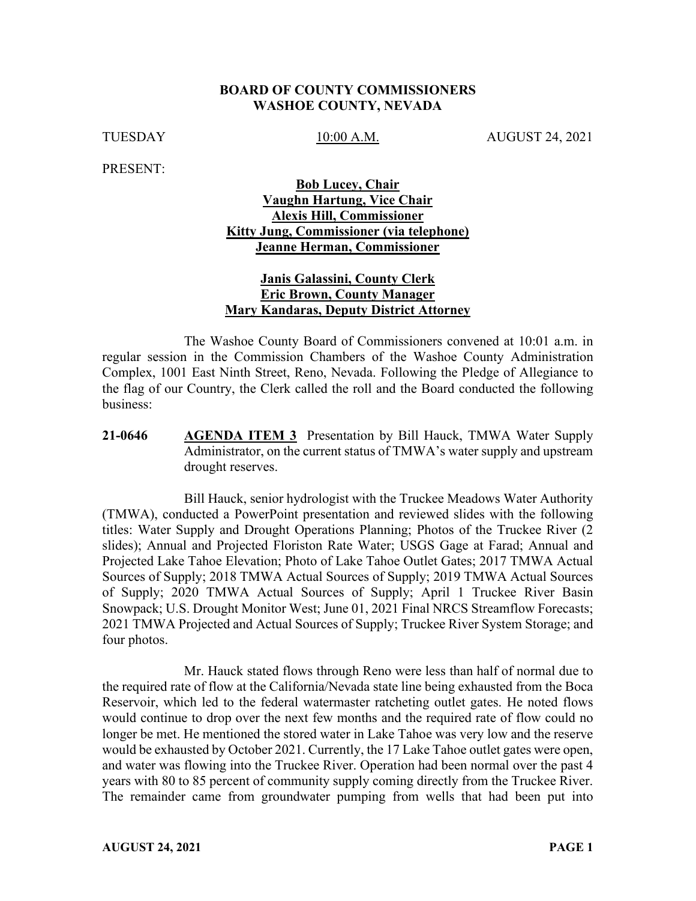#### **BOARD OF COUNTY COMMISSIONERS WASHOE COUNTY, NEVADA**

TUESDAY 10:00 A.M. AUGUST 24, 2021

PRESENT:

## **Bob Lucey, Chair Vaughn Hartung, Vice Chair Alexis Hill, Commissioner Kitty Jung, Commissioner (via telephone) Jeanne Herman, Commissioner**

### **Janis Galassini, County Clerk Eric Brown, County Manager Mary Kandaras, Deputy District Attorney**

The Washoe County Board of Commissioners convened at 10:01 a.m. in regular session in the Commission Chambers of the Washoe County Administration Complex, 1001 East Ninth Street, Reno, Nevada. Following the Pledge of Allegiance to the flag of our Country, the Clerk called the roll and the Board conducted the following business:

**21-0646 AGENDA ITEM 3** Presentation by Bill Hauck, TMWA Water Supply Administrator, on the current status of TMWA's water supply and upstream drought reserves.

Bill Hauck, senior hydrologist with the Truckee Meadows Water Authority (TMWA), conducted a PowerPoint presentation and reviewed slides with the following titles: Water Supply and Drought Operations Planning; Photos of the Truckee River (2 slides); Annual and Projected Floriston Rate Water; USGS Gage at Farad; Annual and Projected Lake Tahoe Elevation; Photo of Lake Tahoe Outlet Gates; 2017 TMWA Actual Sources of Supply; 2018 TMWA Actual Sources of Supply; 2019 TMWA Actual Sources of Supply; 2020 TMWA Actual Sources of Supply; April 1 Truckee River Basin Snowpack; U.S. Drought Monitor West; June 01, 2021 Final NRCS Streamflow Forecasts; 2021 TMWA Projected and Actual Sources of Supply; Truckee River System Storage; and four photos.

Mr. Hauck stated flows through Reno were less than half of normal due to the required rate of flow at the California/Nevada state line being exhausted from the Boca Reservoir, which led to the federal watermaster ratcheting outlet gates. He noted flows would continue to drop over the next few months and the required rate of flow could no longer be met. He mentioned the stored water in Lake Tahoe was very low and the reserve would be exhausted by October 2021. Currently, the 17 Lake Tahoe outlet gates were open, and water was flowing into the Truckee River. Operation had been normal over the past 4 years with 80 to 85 percent of community supply coming directly from the Truckee River. The remainder came from groundwater pumping from wells that had been put into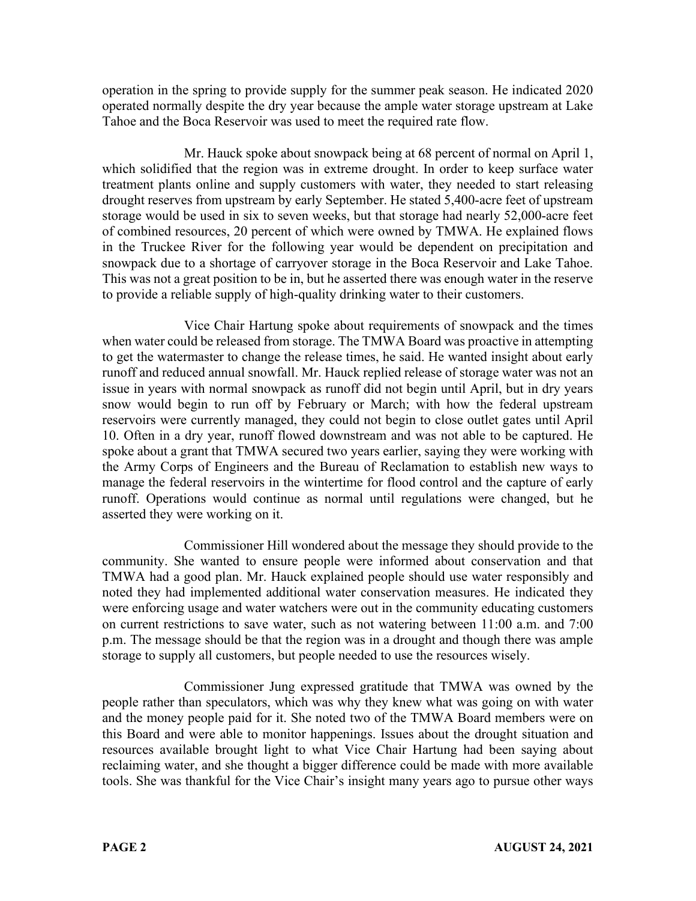operation in the spring to provide supply for the summer peak season. He indicated 2020 operated normally despite the dry year because the ample water storage upstream at Lake Tahoe and the Boca Reservoir was used to meet the required rate flow.

Mr. Hauck spoke about snowpack being at 68 percent of normal on April 1, which solidified that the region was in extreme drought. In order to keep surface water treatment plants online and supply customers with water, they needed to start releasing drought reserves from upstream by early September. He stated 5,400-acre feet of upstream storage would be used in six to seven weeks, but that storage had nearly 52,000-acre feet of combined resources, 20 percent of which were owned by TMWA. He explained flows in the Truckee River for the following year would be dependent on precipitation and snowpack due to a shortage of carryover storage in the Boca Reservoir and Lake Tahoe. This was not a great position to be in, but he asserted there was enough water in the reserve to provide a reliable supply of high-quality drinking water to their customers.

Vice Chair Hartung spoke about requirements of snowpack and the times when water could be released from storage. The TMWA Board was proactive in attempting to get the watermaster to change the release times, he said. He wanted insight about early runoff and reduced annual snowfall. Mr. Hauck replied release of storage water was not an issue in years with normal snowpack as runoff did not begin until April, but in dry years snow would begin to run off by February or March; with how the federal upstream reservoirs were currently managed, they could not begin to close outlet gates until April 10. Often in a dry year, runoff flowed downstream and was not able to be captured. He spoke about a grant that TMWA secured two years earlier, saying they were working with the Army Corps of Engineers and the Bureau of Reclamation to establish new ways to manage the federal reservoirs in the wintertime for flood control and the capture of early runoff. Operations would continue as normal until regulations were changed, but he asserted they were working on it.

Commissioner Hill wondered about the message they should provide to the community. She wanted to ensure people were informed about conservation and that TMWA had a good plan. Mr. Hauck explained people should use water responsibly and noted they had implemented additional water conservation measures. He indicated they were enforcing usage and water watchers were out in the community educating customers on current restrictions to save water, such as not watering between 11:00 a.m. and 7:00 p.m. The message should be that the region was in a drought and though there was ample storage to supply all customers, but people needed to use the resources wisely.

Commissioner Jung expressed gratitude that TMWA was owned by the people rather than speculators, which was why they knew what was going on with water and the money people paid for it. She noted two of the TMWA Board members were on this Board and were able to monitor happenings. Issues about the drought situation and resources available brought light to what Vice Chair Hartung had been saying about reclaiming water, and she thought a bigger difference could be made with more available tools. She was thankful for the Vice Chair's insight many years ago to pursue other ways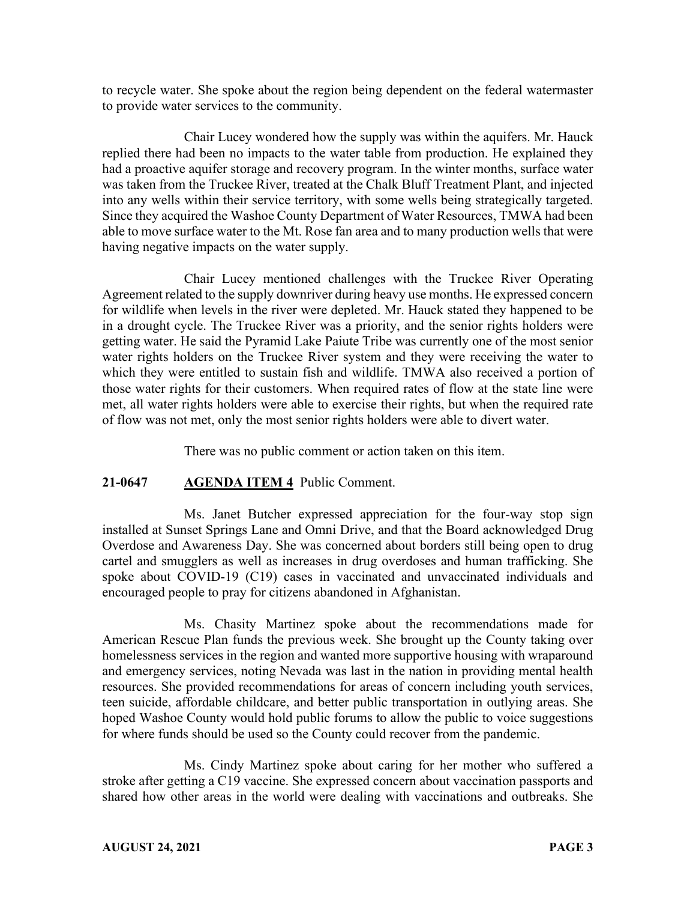to recycle water. She spoke about the region being dependent on the federal watermaster to provide water services to the community.

Chair Lucey wondered how the supply was within the aquifers. Mr. Hauck replied there had been no impacts to the water table from production. He explained they had a proactive aquifer storage and recovery program. In the winter months, surface water was taken from the Truckee River, treated at the Chalk Bluff Treatment Plant, and injected into any wells within their service territory, with some wells being strategically targeted. Since they acquired the Washoe County Department of Water Resources, TMWA had been able to move surface water to the Mt. Rose fan area and to many production wells that were having negative impacts on the water supply.

Chair Lucey mentioned challenges with the Truckee River Operating Agreement related to the supply downriver during heavy use months. He expressed concern for wildlife when levels in the river were depleted. Mr. Hauck stated they happened to be in a drought cycle. The Truckee River was a priority, and the senior rights holders were getting water. He said the Pyramid Lake Paiute Tribe was currently one of the most senior water rights holders on the Truckee River system and they were receiving the water to which they were entitled to sustain fish and wildlife. TMWA also received a portion of those water rights for their customers. When required rates of flow at the state line were met, all water rights holders were able to exercise their rights, but when the required rate of flow was not met, only the most senior rights holders were able to divert water.

There was no public comment or action taken on this item.

#### **21-0647 AGENDA ITEM 4** Public Comment.

Ms. Janet Butcher expressed appreciation for the four-way stop sign installed at Sunset Springs Lane and Omni Drive, and that the Board acknowledged Drug Overdose and Awareness Day. She was concerned about borders still being open to drug cartel and smugglers as well as increases in drug overdoses and human trafficking. She spoke about COVID-19 (C19) cases in vaccinated and unvaccinated individuals and encouraged people to pray for citizens abandoned in Afghanistan.

Ms. Chasity Martinez spoke about the recommendations made for American Rescue Plan funds the previous week. She brought up the County taking over homelessness services in the region and wanted more supportive housing with wraparound and emergency services, noting Nevada was last in the nation in providing mental health resources. She provided recommendations for areas of concern including youth services, teen suicide, affordable childcare, and better public transportation in outlying areas. She hoped Washoe County would hold public forums to allow the public to voice suggestions for where funds should be used so the County could recover from the pandemic.

Ms. Cindy Martinez spoke about caring for her mother who suffered a stroke after getting a C19 vaccine. She expressed concern about vaccination passports and shared how other areas in the world were dealing with vaccinations and outbreaks. She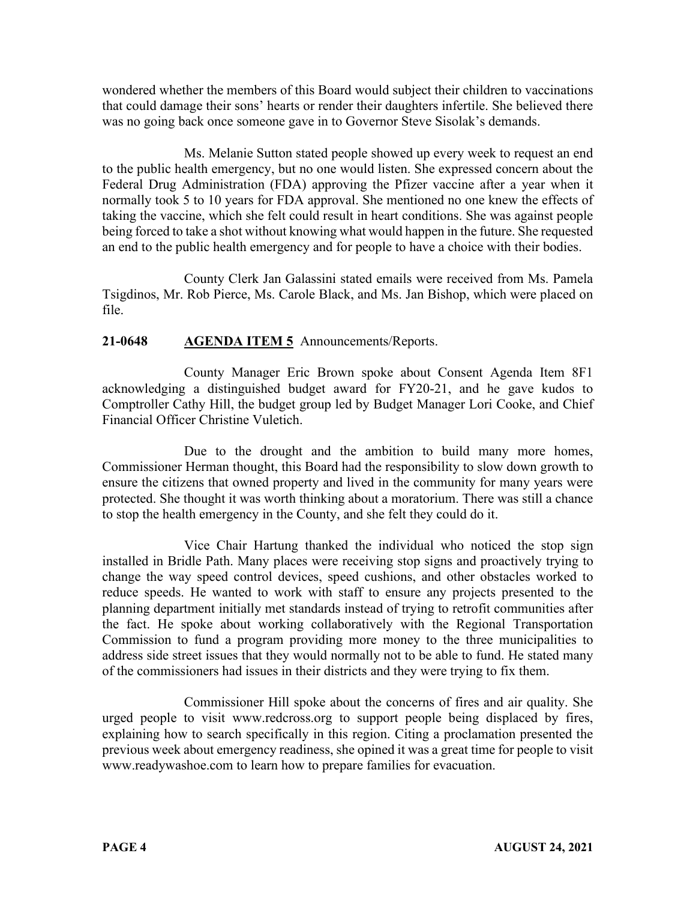wondered whether the members of this Board would subject their children to vaccinations that could damage their sons' hearts or render their daughters infertile. She believed there was no going back once someone gave in to Governor Steve Sisolak's demands.

Ms. Melanie Sutton stated people showed up every week to request an end to the public health emergency, but no one would listen. She expressed concern about the Federal Drug Administration (FDA) approving the Pfizer vaccine after a year when it normally took 5 to 10 years for FDA approval. She mentioned no one knew the effects of taking the vaccine, which she felt could result in heart conditions. She was against people being forced to take a shot without knowing what would happen in the future. She requested an end to the public health emergency and for people to have a choice with their bodies.

County Clerk Jan Galassini stated emails were received from Ms. Pamela Tsigdinos, Mr. Rob Pierce, Ms. Carole Black, and Ms. Jan Bishop, which were placed on file.

# **21-0648 AGENDA ITEM 5** Announcements/Reports.

County Manager Eric Brown spoke about Consent Agenda Item 8F1 acknowledging a distinguished budget award for FY20-21, and he gave kudos to Comptroller Cathy Hill, the budget group led by Budget Manager Lori Cooke, and Chief Financial Officer Christine Vuletich.

Due to the drought and the ambition to build many more homes, Commissioner Herman thought, this Board had the responsibility to slow down growth to ensure the citizens that owned property and lived in the community for many years were protected. She thought it was worth thinking about a moratorium. There was still a chance to stop the health emergency in the County, and she felt they could do it.

Vice Chair Hartung thanked the individual who noticed the stop sign installed in Bridle Path. Many places were receiving stop signs and proactively trying to change the way speed control devices, speed cushions, and other obstacles worked to reduce speeds. He wanted to work with staff to ensure any projects presented to the planning department initially met standards instead of trying to retrofit communities after the fact. He spoke about working collaboratively with the Regional Transportation Commission to fund a program providing more money to the three municipalities to address side street issues that they would normally not to be able to fund. He stated many of the commissioners had issues in their districts and they were trying to fix them.

Commissioner Hill spoke about the concerns of fires and air quality. She urged people to visit www.redcross.org to support people being displaced by fires, explaining how to search specifically in this region. Citing a proclamation presented the previous week about emergency readiness, she opined it was a great time for people to visit www.readywashoe.com to learn how to prepare families for evacuation.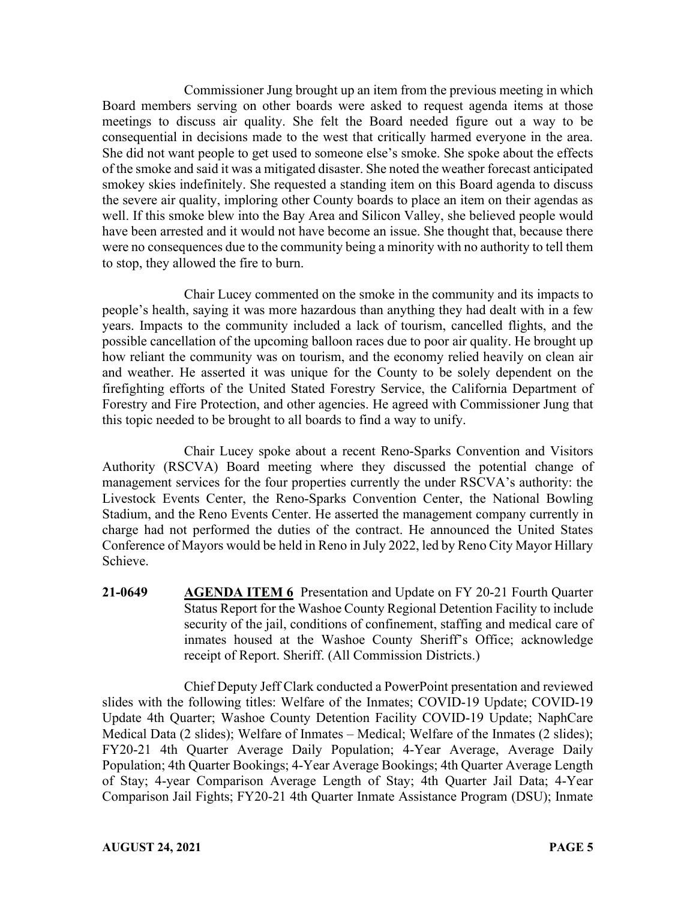Commissioner Jung brought up an item from the previous meeting in which Board members serving on other boards were asked to request agenda items at those meetings to discuss air quality. She felt the Board needed figure out a way to be consequential in decisions made to the west that critically harmed everyone in the area. She did not want people to get used to someone else's smoke. She spoke about the effects of the smoke and said it was a mitigated disaster. She noted the weather forecast anticipated smokey skies indefinitely. She requested a standing item on this Board agenda to discuss the severe air quality, imploring other County boards to place an item on their agendas as well. If this smoke blew into the Bay Area and Silicon Valley, she believed people would have been arrested and it would not have become an issue. She thought that, because there were no consequences due to the community being a minority with no authority to tell them to stop, they allowed the fire to burn.

Chair Lucey commented on the smoke in the community and its impacts to people's health, saying it was more hazardous than anything they had dealt with in a few years. Impacts to the community included a lack of tourism, cancelled flights, and the possible cancellation of the upcoming balloon races due to poor air quality. He brought up how reliant the community was on tourism, and the economy relied heavily on clean air and weather. He asserted it was unique for the County to be solely dependent on the firefighting efforts of the United Stated Forestry Service, the California Department of Forestry and Fire Protection, and other agencies. He agreed with Commissioner Jung that this topic needed to be brought to all boards to find a way to unify.

Chair Lucey spoke about a recent Reno-Sparks Convention and Visitors Authority (RSCVA) Board meeting where they discussed the potential change of management services for the four properties currently the under RSCVA's authority: the Livestock Events Center, the Reno-Sparks Convention Center, the National Bowling Stadium, and the Reno Events Center. He asserted the management company currently in charge had not performed the duties of the contract. He announced the United States Conference of Mayors would be held in Reno in July 2022, led by Reno City Mayor Hillary Schieve.

**21-0649 AGENDA ITEM 6** Presentation and Update on FY 20-21 Fourth Quarter Status Report for the Washoe County Regional Detention Facility to include security of the jail, conditions of confinement, staffing and medical care of inmates housed at the Washoe County Sheriff's Office; acknowledge receipt of Report. Sheriff. (All Commission Districts.)

Chief Deputy Jeff Clark conducted a PowerPoint presentation and reviewed slides with the following titles: Welfare of the Inmates; COVID-19 Update; COVID-19 Update 4th Quarter; Washoe County Detention Facility COVID-19 Update; NaphCare Medical Data (2 slides); Welfare of Inmates – Medical; Welfare of the Inmates (2 slides); FY20-21 4th Quarter Average Daily Population; 4-Year Average, Average Daily Population; 4th Quarter Bookings; 4-Year Average Bookings; 4th Quarter Average Length of Stay; 4-year Comparison Average Length of Stay; 4th Quarter Jail Data; 4-Year Comparison Jail Fights; FY20-21 4th Quarter Inmate Assistance Program (DSU); Inmate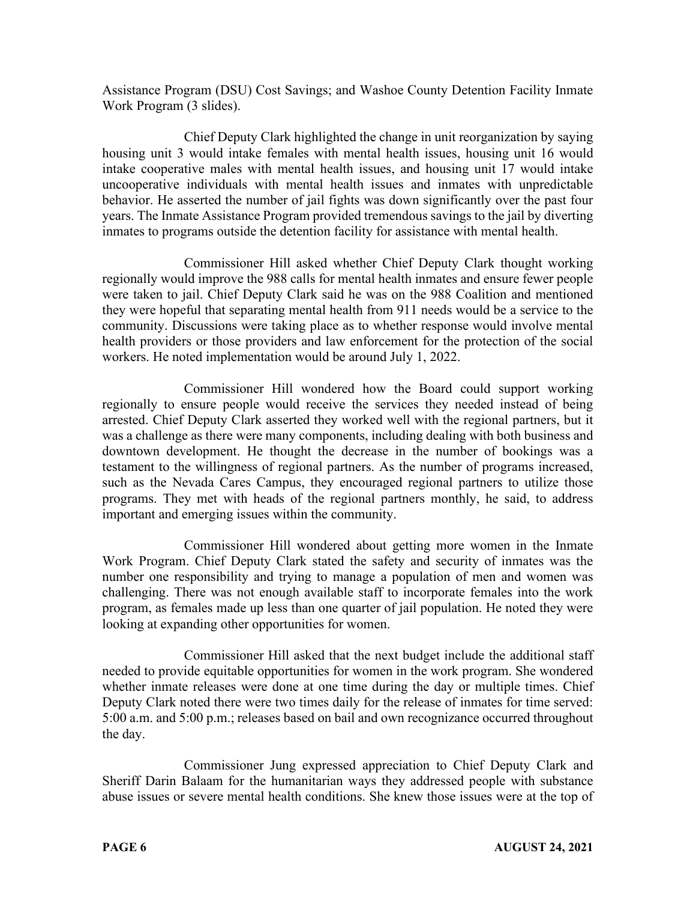Assistance Program (DSU) Cost Savings; and Washoe County Detention Facility Inmate Work Program (3 slides).

Chief Deputy Clark highlighted the change in unit reorganization by saying housing unit 3 would intake females with mental health issues, housing unit 16 would intake cooperative males with mental health issues, and housing unit 17 would intake uncooperative individuals with mental health issues and inmates with unpredictable behavior. He asserted the number of jail fights was down significantly over the past four years. The Inmate Assistance Program provided tremendous savings to the jail by diverting inmates to programs outside the detention facility for assistance with mental health.

Commissioner Hill asked whether Chief Deputy Clark thought working regionally would improve the 988 calls for mental health inmates and ensure fewer people were taken to jail. Chief Deputy Clark said he was on the 988 Coalition and mentioned they were hopeful that separating mental health from 911 needs would be a service to the community. Discussions were taking place as to whether response would involve mental health providers or those providers and law enforcement for the protection of the social workers. He noted implementation would be around July 1, 2022.

Commissioner Hill wondered how the Board could support working regionally to ensure people would receive the services they needed instead of being arrested. Chief Deputy Clark asserted they worked well with the regional partners, but it was a challenge as there were many components, including dealing with both business and downtown development. He thought the decrease in the number of bookings was a testament to the willingness of regional partners. As the number of programs increased, such as the Nevada Cares Campus, they encouraged regional partners to utilize those programs. They met with heads of the regional partners monthly, he said, to address important and emerging issues within the community.

Commissioner Hill wondered about getting more women in the Inmate Work Program. Chief Deputy Clark stated the safety and security of inmates was the number one responsibility and trying to manage a population of men and women was challenging. There was not enough available staff to incorporate females into the work program, as females made up less than one quarter of jail population. He noted they were looking at expanding other opportunities for women.

Commissioner Hill asked that the next budget include the additional staff needed to provide equitable opportunities for women in the work program. She wondered whether inmate releases were done at one time during the day or multiple times. Chief Deputy Clark noted there were two times daily for the release of inmates for time served: 5:00 a.m. and 5:00 p.m.; releases based on bail and own recognizance occurred throughout the day.

Commissioner Jung expressed appreciation to Chief Deputy Clark and Sheriff Darin Balaam for the humanitarian ways they addressed people with substance abuse issues or severe mental health conditions. She knew those issues were at the top of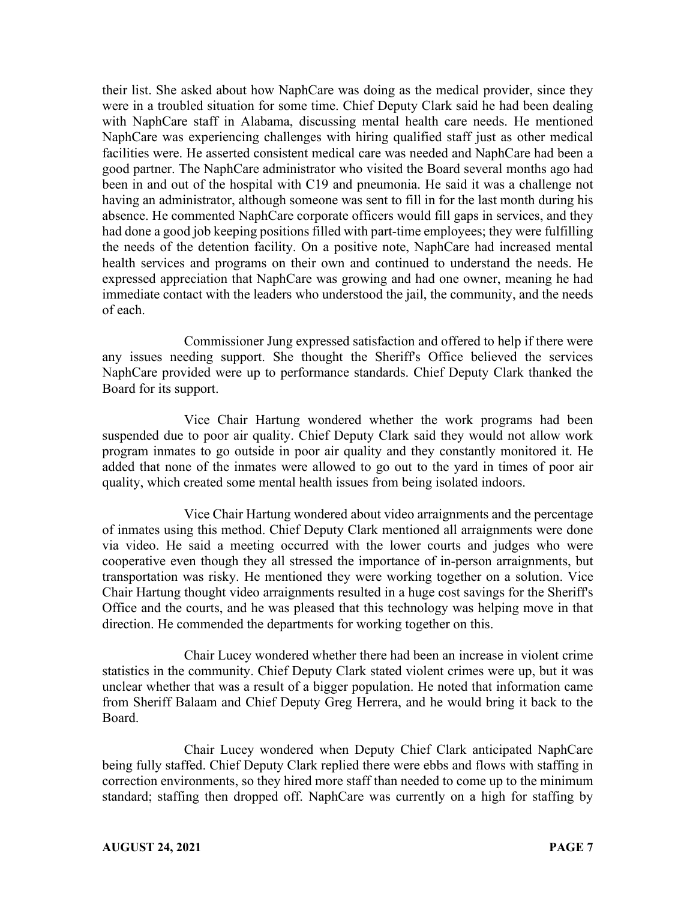their list. She asked about how NaphCare was doing as the medical provider, since they were in a troubled situation for some time. Chief Deputy Clark said he had been dealing with NaphCare staff in Alabama, discussing mental health care needs. He mentioned NaphCare was experiencing challenges with hiring qualified staff just as other medical facilities were. He asserted consistent medical care was needed and NaphCare had been a good partner. The NaphCare administrator who visited the Board several months ago had been in and out of the hospital with C19 and pneumonia. He said it was a challenge not having an administrator, although someone was sent to fill in for the last month during his absence. He commented NaphCare corporate officers would fill gaps in services, and they had done a good job keeping positions filled with part-time employees; they were fulfilling the needs of the detention facility. On a positive note, NaphCare had increased mental health services and programs on their own and continued to understand the needs. He expressed appreciation that NaphCare was growing and had one owner, meaning he had immediate contact with the leaders who understood the jail, the community, and the needs of each.

Commissioner Jung expressed satisfaction and offered to help if there were any issues needing support. She thought the Sheriff's Office believed the services NaphCare provided were up to performance standards. Chief Deputy Clark thanked the Board for its support.

Vice Chair Hartung wondered whether the work programs had been suspended due to poor air quality. Chief Deputy Clark said they would not allow work program inmates to go outside in poor air quality and they constantly monitored it. He added that none of the inmates were allowed to go out to the yard in times of poor air quality, which created some mental health issues from being isolated indoors.

Vice Chair Hartung wondered about video arraignments and the percentage of inmates using this method. Chief Deputy Clark mentioned all arraignments were done via video. He said a meeting occurred with the lower courts and judges who were cooperative even though they all stressed the importance of in-person arraignments, but transportation was risky. He mentioned they were working together on a solution. Vice Chair Hartung thought video arraignments resulted in a huge cost savings for the Sheriff's Office and the courts, and he was pleased that this technology was helping move in that direction. He commended the departments for working together on this.

Chair Lucey wondered whether there had been an increase in violent crime statistics in the community. Chief Deputy Clark stated violent crimes were up, but it was unclear whether that was a result of a bigger population. He noted that information came from Sheriff Balaam and Chief Deputy Greg Herrera, and he would bring it back to the Board.

Chair Lucey wondered when Deputy Chief Clark anticipated NaphCare being fully staffed. Chief Deputy Clark replied there were ebbs and flows with staffing in correction environments, so they hired more staff than needed to come up to the minimum standard; staffing then dropped off. NaphCare was currently on a high for staffing by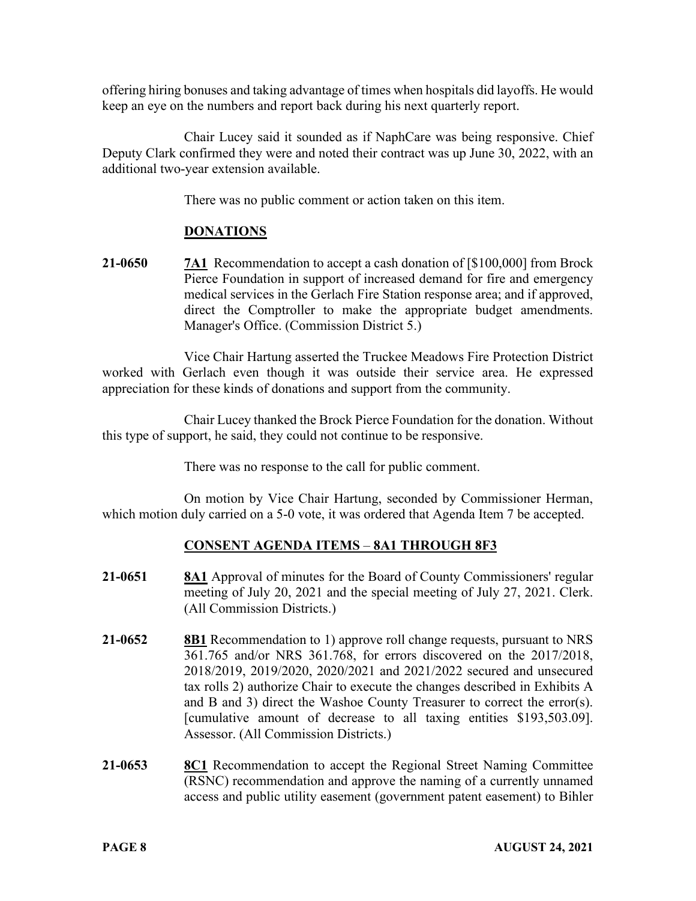offering hiring bonuses and taking advantage of times when hospitals did layoffs. He would keep an eye on the numbers and report back during his next quarterly report.

Chair Lucey said it sounded as if NaphCare was being responsive. Chief Deputy Clark confirmed they were and noted their contract was up June 30, 2022, with an additional two-year extension available.

There was no public comment or action taken on this item.

# **DONATIONS**

**21-0650 7A1** Recommendation to accept a cash donation of [\$100,000] from Brock Pierce Foundation in support of increased demand for fire and emergency medical services in the Gerlach Fire Station response area; and if approved, direct the Comptroller to make the appropriate budget amendments. Manager's Office. (Commission District 5.)

Vice Chair Hartung asserted the Truckee Meadows Fire Protection District worked with Gerlach even though it was outside their service area. He expressed appreciation for these kinds of donations and support from the community.

Chair Lucey thanked the Brock Pierce Foundation for the donation. Without this type of support, he said, they could not continue to be responsive.

There was no response to the call for public comment.

On motion by Vice Chair Hartung, seconded by Commissioner Herman, which motion duly carried on a 5-0 vote, it was ordered that Agenda Item 7 be accepted.

# **CONSENT AGENDA ITEMS** – **8A1 THROUGH 8F3**

- **21-0651 8A1** Approval of minutes for the Board of County Commissioners' regular meeting of July 20, 2021 and the special meeting of July 27, 2021. Clerk. (All Commission Districts.)
- **21-0652 8B1** Recommendation to 1) approve roll change requests, pursuant to NRS 361.765 and/or NRS 361.768, for errors discovered on the 2017/2018, 2018/2019, 2019/2020, 2020/2021 and 2021/2022 secured and unsecured tax rolls 2) authorize Chair to execute the changes described in Exhibits A and B and 3) direct the Washoe County Treasurer to correct the error(s). [cumulative amount of decrease to all taxing entities \$193,503.09]. Assessor. (All Commission Districts.)
- **21-0653 8C1** Recommendation to accept the Regional Street Naming Committee (RSNC) recommendation and approve the naming of a currently unnamed access and public utility easement (government patent easement) to Bihler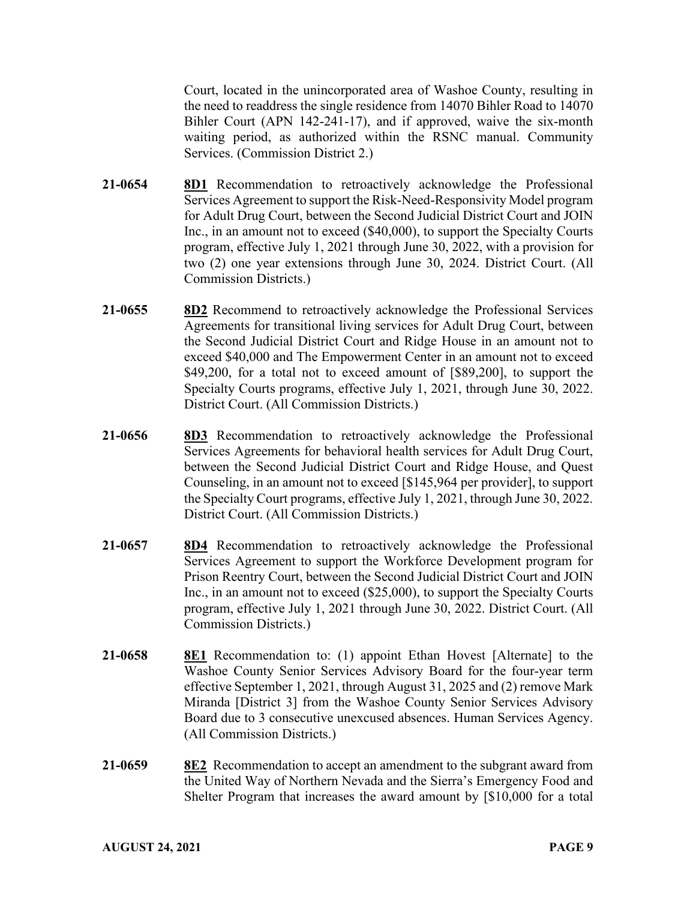Court, located in the unincorporated area of Washoe County, resulting in the need to readdress the single residence from 14070 Bihler Road to 14070 Bihler Court (APN 142-241-17), and if approved, waive the six-month waiting period, as authorized within the RSNC manual. Community Services. (Commission District 2.)

- **21-0654 8D1** Recommendation to retroactively acknowledge the Professional Services Agreement to support the Risk-Need-Responsivity Model program for Adult Drug Court, between the Second Judicial District Court and JOIN Inc., in an amount not to exceed (\$40,000), to support the Specialty Courts program, effective July 1, 2021 through June 30, 2022, with a provision for two (2) one year extensions through June 30, 2024. District Court. (All Commission Districts.)
- **21-0655 8D2** Recommend to retroactively acknowledge the Professional Services Agreements for transitional living services for Adult Drug Court, between the Second Judicial District Court and Ridge House in an amount not to exceed \$40,000 and The Empowerment Center in an amount not to exceed \$49,200, for a total not to exceed amount of [\$89,200], to support the Specialty Courts programs, effective July 1, 2021, through June 30, 2022. District Court. (All Commission Districts.)
- **21-0656 8D3** Recommendation to retroactively acknowledge the Professional Services Agreements for behavioral health services for Adult Drug Court, between the Second Judicial District Court and Ridge House, and Quest Counseling, in an amount not to exceed [\$145,964 per provider], to support the Specialty Court programs, effective July 1, 2021, through June 30, 2022. District Court. (All Commission Districts.)
- **21-0657 8D4** Recommendation to retroactively acknowledge the Professional Services Agreement to support the Workforce Development program for Prison Reentry Court, between the Second Judicial District Court and JOIN Inc., in an amount not to exceed (\$25,000), to support the Specialty Courts program, effective July 1, 2021 through June 30, 2022. District Court. (All Commission Districts.)
- **21-0658 8E1** Recommendation to: (1) appoint Ethan Hovest [Alternate] to the Washoe County Senior Services Advisory Board for the four-year term effective September 1, 2021, through August 31, 2025 and (2) remove Mark Miranda [District 3] from the Washoe County Senior Services Advisory Board due to 3 consecutive unexcused absences. Human Services Agency. (All Commission Districts.)
- **21-0659 8E2** Recommendation to accept an amendment to the subgrant award from the United Way of Northern Nevada and the Sierra's Emergency Food and Shelter Program that increases the award amount by [\$10,000 for a total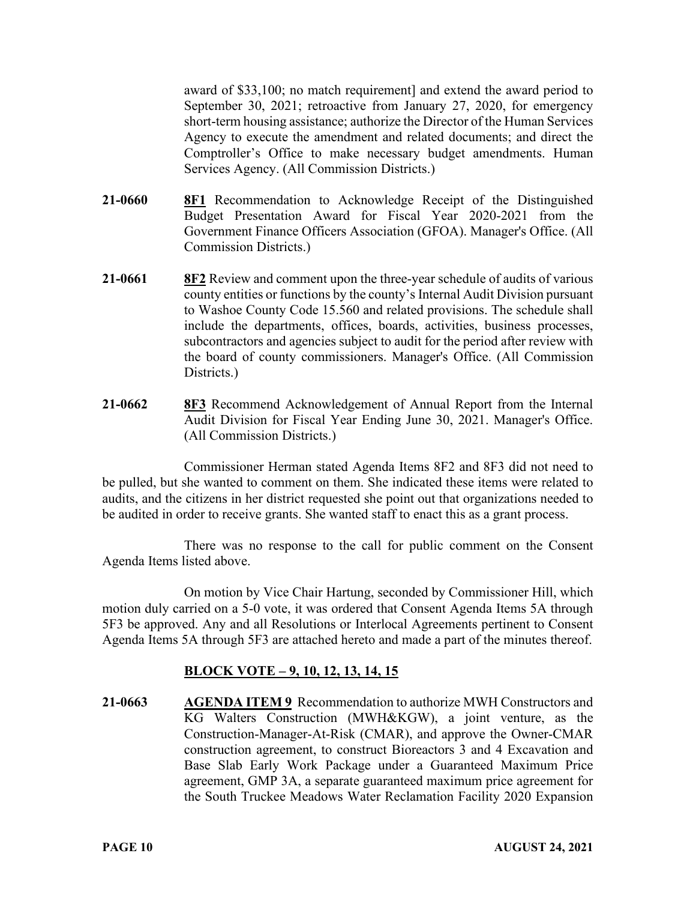award of \$33,100; no match requirement] and extend the award period to September 30, 2021; retroactive from January 27, 2020, for emergency short-term housing assistance; authorize the Director of the Human Services Agency to execute the amendment and related documents; and direct the Comptroller's Office to make necessary budget amendments. Human Services Agency. (All Commission Districts.)

- **21-0660 8F1** Recommendation to Acknowledge Receipt of the Distinguished Budget Presentation Award for Fiscal Year 2020-2021 from the Government Finance Officers Association (GFOA). Manager's Office. (All Commission Districts.)
- **21-0661 8F2** Review and comment upon the three-year schedule of audits of various county entities or functions by the county's Internal Audit Division pursuant to Washoe County Code 15.560 and related provisions. The schedule shall include the departments, offices, boards, activities, business processes, subcontractors and agencies subject to audit for the period after review with the board of county commissioners. Manager's Office. (All Commission Districts.
- **21-0662 8F3** Recommend Acknowledgement of Annual Report from the Internal Audit Division for Fiscal Year Ending June 30, 2021. Manager's Office. (All Commission Districts.)

Commissioner Herman stated Agenda Items 8F2 and 8F3 did not need to be pulled, but she wanted to comment on them. She indicated these items were related to audits, and the citizens in her district requested she point out that organizations needed to be audited in order to receive grants. She wanted staff to enact this as a grant process.

There was no response to the call for public comment on the Consent Agenda Items listed above.

On motion by Vice Chair Hartung, seconded by Commissioner Hill, which motion duly carried on a 5-0 vote, it was ordered that Consent Agenda Items 5A through 5F3 be approved. Any and all Resolutions or Interlocal Agreements pertinent to Consent Agenda Items 5A through 5F3 are attached hereto and made a part of the minutes thereof.

# **BLOCK VOTE – 9, 10, 12, 13, 14, 15**

**21-0663 AGENDA ITEM 9** Recommendation to authorize MWH Constructors and KG Walters Construction (MWH&KGW), a joint venture, as the Construction-Manager-At-Risk (CMAR), and approve the Owner-CMAR construction agreement, to construct Bioreactors 3 and 4 Excavation and Base Slab Early Work Package under a Guaranteed Maximum Price agreement, GMP 3A, a separate guaranteed maximum price agreement for the South Truckee Meadows Water Reclamation Facility 2020 Expansion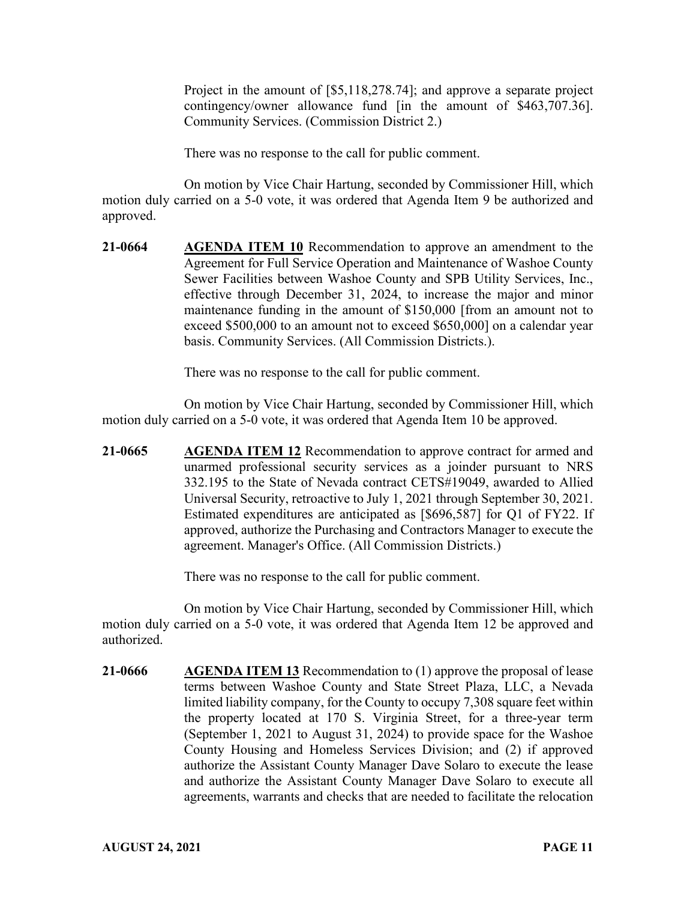Project in the amount of [\$5,118,278.74]; and approve a separate project contingency/owner allowance fund [in the amount of \$463,707.36]. Community Services. (Commission District 2.)

There was no response to the call for public comment.

On motion by Vice Chair Hartung, seconded by Commissioner Hill, which motion duly carried on a 5-0 vote, it was ordered that Agenda Item 9 be authorized and approved.

**21-0664 AGENDA ITEM 10** Recommendation to approve an amendment to the Agreement for Full Service Operation and Maintenance of Washoe County Sewer Facilities between Washoe County and SPB Utility Services, Inc., effective through December 31, 2024, to increase the major and minor maintenance funding in the amount of \$150,000 [from an amount not to exceed \$500,000 to an amount not to exceed \$650,000] on a calendar year basis. Community Services. (All Commission Districts.).

There was no response to the call for public comment.

On motion by Vice Chair Hartung, seconded by Commissioner Hill, which motion duly carried on a 5-0 vote, it was ordered that Agenda Item 10 be approved.

**21-0665 AGENDA ITEM 12** Recommendation to approve contract for armed and unarmed professional security services as a joinder pursuant to NRS 332.195 to the State of Nevada contract CETS#19049, awarded to Allied Universal Security, retroactive to July 1, 2021 through September 30, 2021. Estimated expenditures are anticipated as [\$696,587] for Q1 of FY22. If approved, authorize the Purchasing and Contractors Manager to execute the agreement. Manager's Office. (All Commission Districts.)

There was no response to the call for public comment.

On motion by Vice Chair Hartung, seconded by Commissioner Hill, which motion duly carried on a 5-0 vote, it was ordered that Agenda Item 12 be approved and authorized.

**21-0666 AGENDA ITEM 13** Recommendation to (1) approve the proposal of lease terms between Washoe County and State Street Plaza, LLC, a Nevada limited liability company, for the County to occupy 7,308 square feet within the property located at 170 S. Virginia Street, for a three-year term (September 1, 2021 to August 31, 2024) to provide space for the Washoe County Housing and Homeless Services Division; and (2) if approved authorize the Assistant County Manager Dave Solaro to execute the lease and authorize the Assistant County Manager Dave Solaro to execute all agreements, warrants and checks that are needed to facilitate the relocation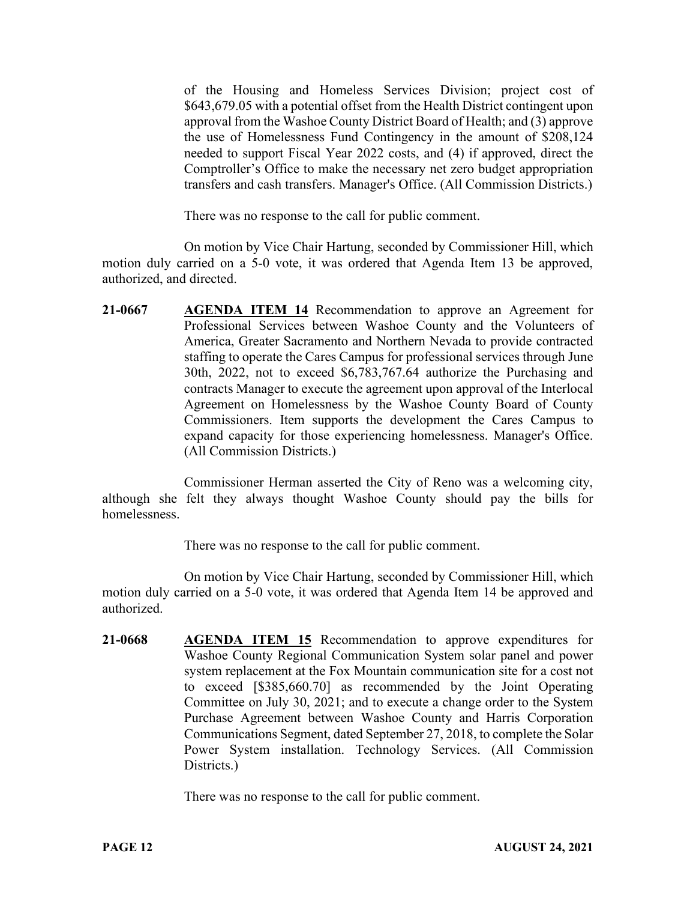of the Housing and Homeless Services Division; project cost of \$643,679.05 with a potential offset from the Health District contingent upon approval from the Washoe County District Board of Health; and (3) approve the use of Homelessness Fund Contingency in the amount of \$208,124 needed to support Fiscal Year 2022 costs, and (4) if approved, direct the Comptroller's Office to make the necessary net zero budget appropriation transfers and cash transfers. Manager's Office. (All Commission Districts.)

There was no response to the call for public comment.

On motion by Vice Chair Hartung, seconded by Commissioner Hill, which motion duly carried on a 5-0 vote, it was ordered that Agenda Item 13 be approved, authorized, and directed.

**21-0667 AGENDA ITEM 14** Recommendation to approve an Agreement for Professional Services between Washoe County and the Volunteers of America, Greater Sacramento and Northern Nevada to provide contracted staffing to operate the Cares Campus for professional services through June 30th, 2022, not to exceed \$6,783,767.64 authorize the Purchasing and contracts Manager to execute the agreement upon approval of the Interlocal Agreement on Homelessness by the Washoe County Board of County Commissioners. Item supports the development the Cares Campus to expand capacity for those experiencing homelessness. Manager's Office. (All Commission Districts.)

Commissioner Herman asserted the City of Reno was a welcoming city, although she felt they always thought Washoe County should pay the bills for homelessness.

There was no response to the call for public comment.

On motion by Vice Chair Hartung, seconded by Commissioner Hill, which motion duly carried on a 5-0 vote, it was ordered that Agenda Item 14 be approved and authorized.

**21-0668 AGENDA ITEM 15** Recommendation to approve expenditures for Washoe County Regional Communication System solar panel and power system replacement at the Fox Mountain communication site for a cost not to exceed [\$385,660.70] as recommended by the Joint Operating Committee on July 30, 2021; and to execute a change order to the System Purchase Agreement between Washoe County and Harris Corporation Communications Segment, dated September 27, 2018, to complete the Solar Power System installation. Technology Services. (All Commission Districts.)

There was no response to the call for public comment.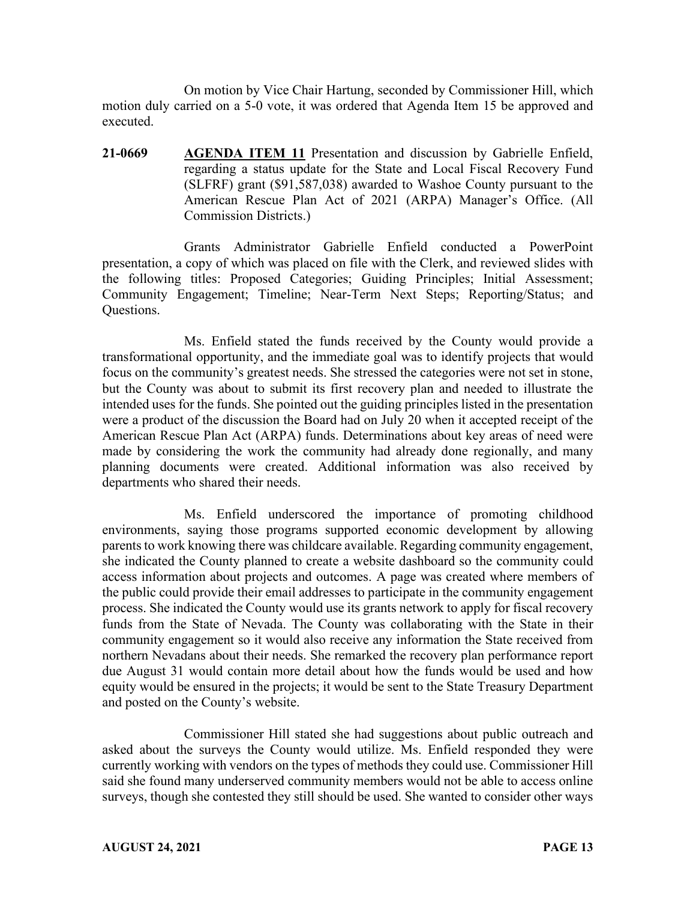On motion by Vice Chair Hartung, seconded by Commissioner Hill, which motion duly carried on a 5-0 vote, it was ordered that Agenda Item 15 be approved and executed.

**21-0669 AGENDA ITEM 11** Presentation and discussion by Gabrielle Enfield, regarding a status update for the State and Local Fiscal Recovery Fund (SLFRF) grant (\$91,587,038) awarded to Washoe County pursuant to the American Rescue Plan Act of 2021 (ARPA) Manager's Office. (All Commission Districts.)

Grants Administrator Gabrielle Enfield conducted a PowerPoint presentation, a copy of which was placed on file with the Clerk, and reviewed slides with the following titles: Proposed Categories; Guiding Principles; Initial Assessment; Community Engagement; Timeline; Near-Term Next Steps; Reporting/Status; and Questions.

Ms. Enfield stated the funds received by the County would provide a transformational opportunity, and the immediate goal was to identify projects that would focus on the community's greatest needs. She stressed the categories were not set in stone, but the County was about to submit its first recovery plan and needed to illustrate the intended uses for the funds. She pointed out the guiding principles listed in the presentation were a product of the discussion the Board had on July 20 when it accepted receipt of the American Rescue Plan Act (ARPA) funds. Determinations about key areas of need were made by considering the work the community had already done regionally, and many planning documents were created. Additional information was also received by departments who shared their needs.

Ms. Enfield underscored the importance of promoting childhood environments, saying those programs supported economic development by allowing parents to work knowing there was childcare available. Regarding community engagement, she indicated the County planned to create a website dashboard so the community could access information about projects and outcomes. A page was created where members of the public could provide their email addresses to participate in the community engagement process. She indicated the County would use its grants network to apply for fiscal recovery funds from the State of Nevada. The County was collaborating with the State in their community engagement so it would also receive any information the State received from northern Nevadans about their needs. She remarked the recovery plan performance report due August 31 would contain more detail about how the funds would be used and how equity would be ensured in the projects; it would be sent to the State Treasury Department and posted on the County's website.

Commissioner Hill stated she had suggestions about public outreach and asked about the surveys the County would utilize. Ms. Enfield responded they were currently working with vendors on the types of methods they could use. Commissioner Hill said she found many underserved community members would not be able to access online surveys, though she contested they still should be used. She wanted to consider other ways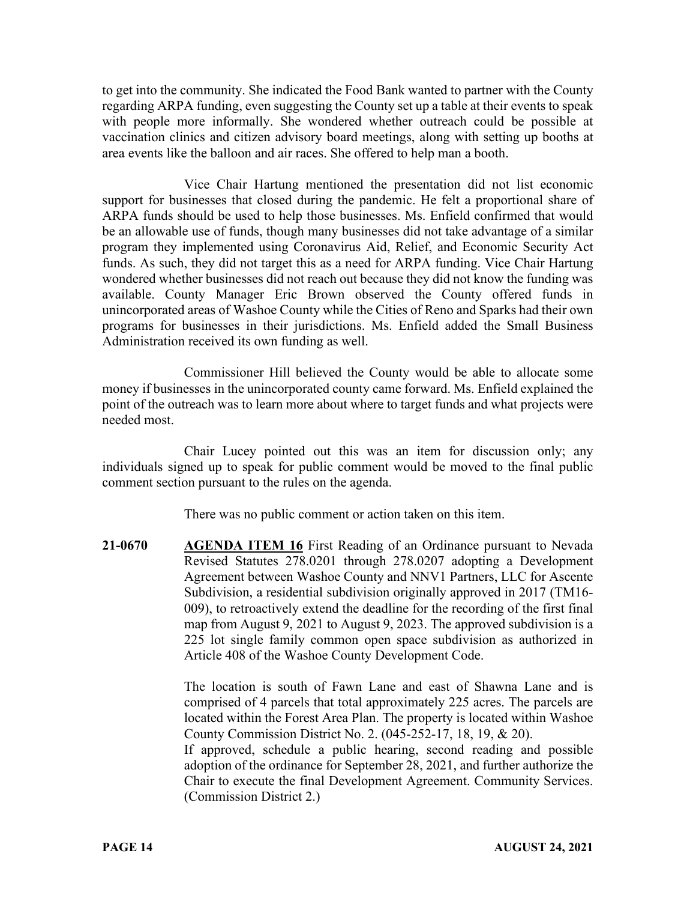to get into the community. She indicated the Food Bank wanted to partner with the County regarding ARPA funding, even suggesting the County set up a table at their events to speak with people more informally. She wondered whether outreach could be possible at vaccination clinics and citizen advisory board meetings, along with setting up booths at area events like the balloon and air races. She offered to help man a booth.

Vice Chair Hartung mentioned the presentation did not list economic support for businesses that closed during the pandemic. He felt a proportional share of ARPA funds should be used to help those businesses. Ms. Enfield confirmed that would be an allowable use of funds, though many businesses did not take advantage of a similar program they implemented using Coronavirus Aid, Relief, and Economic Security Act funds. As such, they did not target this as a need for ARPA funding. Vice Chair Hartung wondered whether businesses did not reach out because they did not know the funding was available. County Manager Eric Brown observed the County offered funds in unincorporated areas of Washoe County while the Cities of Reno and Sparks had their own programs for businesses in their jurisdictions. Ms. Enfield added the Small Business Administration received its own funding as well.

Commissioner Hill believed the County would be able to allocate some money if businesses in the unincorporated county came forward. Ms. Enfield explained the point of the outreach was to learn more about where to target funds and what projects were needed most.

Chair Lucey pointed out this was an item for discussion only; any individuals signed up to speak for public comment would be moved to the final public comment section pursuant to the rules on the agenda.

There was no public comment or action taken on this item.

**21-0670 AGENDA ITEM 16** First Reading of an Ordinance pursuant to Nevada Revised Statutes 278.0201 through 278.0207 adopting a Development Agreement between Washoe County and NNV1 Partners, LLC for Ascente Subdivision, a residential subdivision originally approved in 2017 (TM16- 009), to retroactively extend the deadline for the recording of the first final map from August 9, 2021 to August 9, 2023. The approved subdivision is a 225 lot single family common open space subdivision as authorized in Article 408 of the Washoe County Development Code.

> The location is south of Fawn Lane and east of Shawna Lane and is comprised of 4 parcels that total approximately 225 acres. The parcels are located within the Forest Area Plan. The property is located within Washoe County Commission District No. 2. (045-252-17, 18, 19, & 20). If approved, schedule a public hearing, second reading and possible

> adoption of the ordinance for September 28, 2021, and further authorize the Chair to execute the final Development Agreement. Community Services. (Commission District 2.)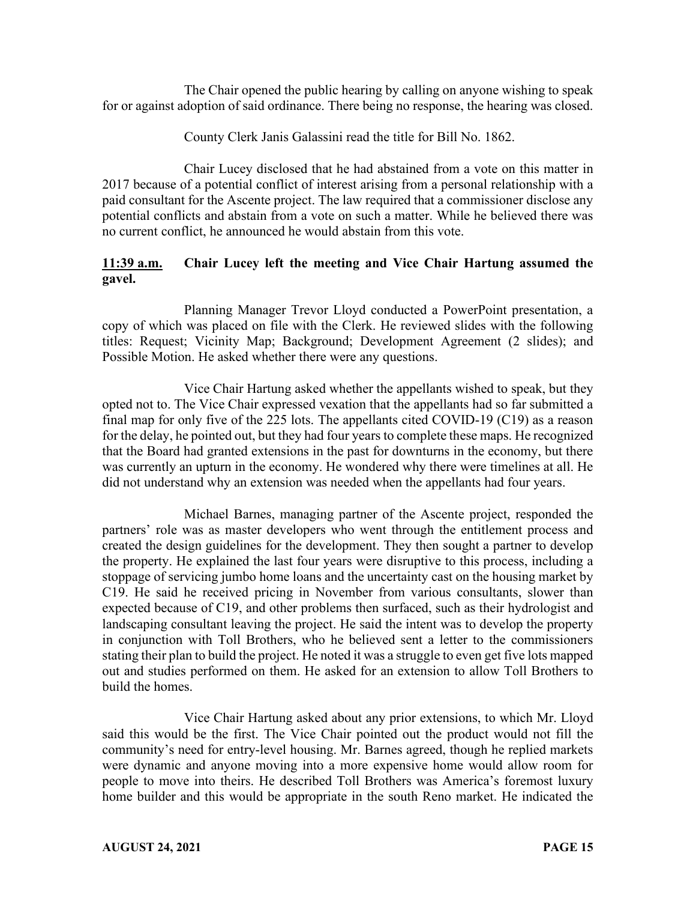The Chair opened the public hearing by calling on anyone wishing to speak for or against adoption of said ordinance. There being no response, the hearing was closed.

County Clerk Janis Galassini read the title for Bill No. 1862.

Chair Lucey disclosed that he had abstained from a vote on this matter in 2017 because of a potential conflict of interest arising from a personal relationship with a paid consultant for the Ascente project. The law required that a commissioner disclose any potential conflicts and abstain from a vote on such a matter. While he believed there was no current conflict, he announced he would abstain from this vote.

# **11:39 a.m. Chair Lucey left the meeting and Vice Chair Hartung assumed the gavel.**

Planning Manager Trevor Lloyd conducted a PowerPoint presentation, a copy of which was placed on file with the Clerk. He reviewed slides with the following titles: Request; Vicinity Map; Background; Development Agreement (2 slides); and Possible Motion. He asked whether there were any questions.

Vice Chair Hartung asked whether the appellants wished to speak, but they opted not to. The Vice Chair expressed vexation that the appellants had so far submitted a final map for only five of the 225 lots. The appellants cited COVID-19 (C19) as a reason for the delay, he pointed out, but they had four years to complete these maps. He recognized that the Board had granted extensions in the past for downturns in the economy, but there was currently an upturn in the economy. He wondered why there were timelines at all. He did not understand why an extension was needed when the appellants had four years.

Michael Barnes, managing partner of the Ascente project, responded the partners' role was as master developers who went through the entitlement process and created the design guidelines for the development. They then sought a partner to develop the property. He explained the last four years were disruptive to this process, including a stoppage of servicing jumbo home loans and the uncertainty cast on the housing market by C19. He said he received pricing in November from various consultants, slower than expected because of C19, and other problems then surfaced, such as their hydrologist and landscaping consultant leaving the project. He said the intent was to develop the property in conjunction with Toll Brothers, who he believed sent a letter to the commissioners stating their plan to build the project. He noted it was a struggle to even get five lots mapped out and studies performed on them. He asked for an extension to allow Toll Brothers to build the homes.

Vice Chair Hartung asked about any prior extensions, to which Mr. Lloyd said this would be the first. The Vice Chair pointed out the product would not fill the community's need for entry-level housing. Mr. Barnes agreed, though he replied markets were dynamic and anyone moving into a more expensive home would allow room for people to move into theirs. He described Toll Brothers was America's foremost luxury home builder and this would be appropriate in the south Reno market. He indicated the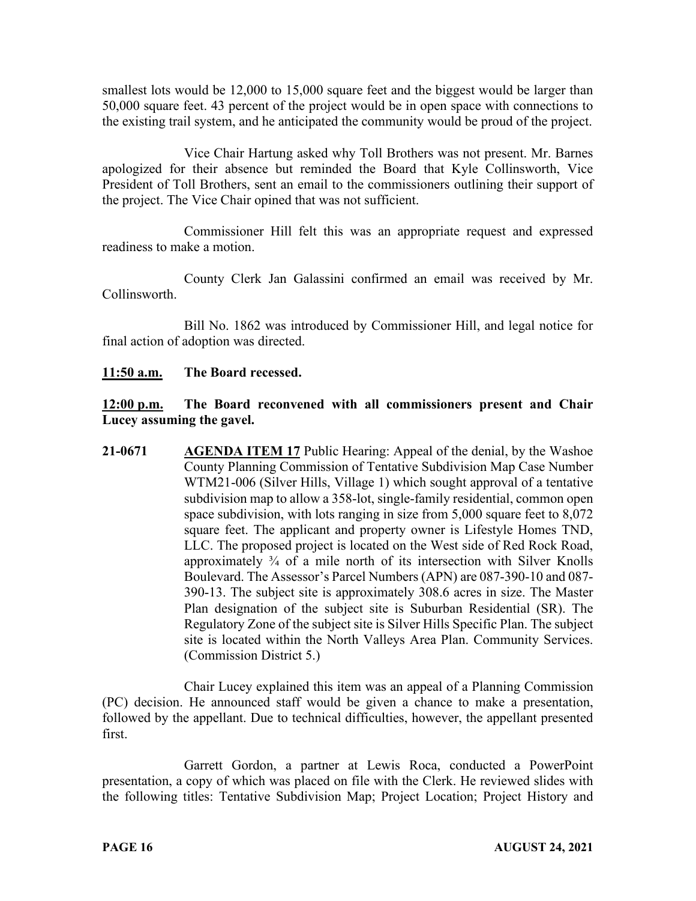smallest lots would be 12,000 to 15,000 square feet and the biggest would be larger than 50,000 square feet. 43 percent of the project would be in open space with connections to the existing trail system, and he anticipated the community would be proud of the project.

Vice Chair Hartung asked why Toll Brothers was not present. Mr. Barnes apologized for their absence but reminded the Board that Kyle Collinsworth, Vice President of Toll Brothers, sent an email to the commissioners outlining their support of the project. The Vice Chair opined that was not sufficient.

Commissioner Hill felt this was an appropriate request and expressed readiness to make a motion.

County Clerk Jan Galassini confirmed an email was received by Mr. Collinsworth.

Bill No. 1862 was introduced by Commissioner Hill, and legal notice for final action of adoption was directed.

## **11:50 a.m. The Board recessed.**

## **12:00 p.m. The Board reconvened with all commissioners present and Chair Lucey assuming the gavel.**

**21-0671 AGENDA ITEM 17** Public Hearing: Appeal of the denial, by the Washoe County Planning Commission of Tentative Subdivision Map Case Number WTM21-006 (Silver Hills, Village 1) which sought approval of a tentative subdivision map to allow a 358-lot, single-family residential, common open space subdivision, with lots ranging in size from 5,000 square feet to 8,072 square feet. The applicant and property owner is Lifestyle Homes TND, LLC. The proposed project is located on the West side of Red Rock Road, approximately  $\frac{3}{4}$  of a mile north of its intersection with Silver Knolls Boulevard. The Assessor's Parcel Numbers (APN) are 087-390-10 and 087- 390-13. The subject site is approximately 308.6 acres in size. The Master Plan designation of the subject site is Suburban Residential (SR). The Regulatory Zone of the subject site is Silver Hills Specific Plan. The subject site is located within the North Valleys Area Plan. Community Services. (Commission District 5.)

Chair Lucey explained this item was an appeal of a Planning Commission (PC) decision. He announced staff would be given a chance to make a presentation, followed by the appellant. Due to technical difficulties, however, the appellant presented first.

Garrett Gordon, a partner at Lewis Roca, conducted a PowerPoint presentation, a copy of which was placed on file with the Clerk. He reviewed slides with the following titles: Tentative Subdivision Map; Project Location; Project History and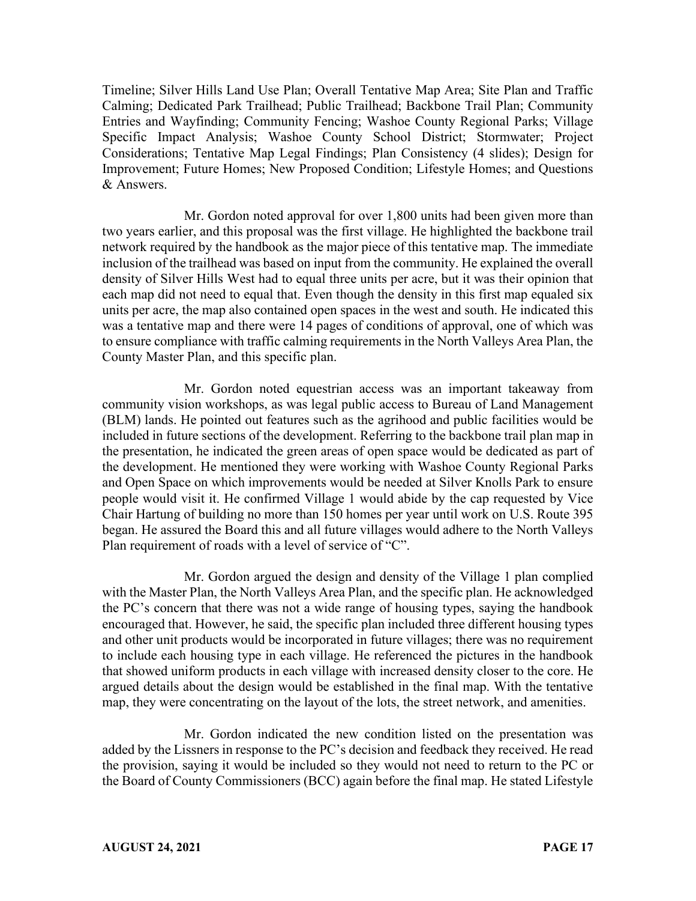Timeline; Silver Hills Land Use Plan; Overall Tentative Map Area; Site Plan and Traffic Calming; Dedicated Park Trailhead; Public Trailhead; Backbone Trail Plan; Community Entries and Wayfinding; Community Fencing; Washoe County Regional Parks; Village Specific Impact Analysis; Washoe County School District; Stormwater; Project Considerations; Tentative Map Legal Findings; Plan Consistency (4 slides); Design for Improvement; Future Homes; New Proposed Condition; Lifestyle Homes; and Questions & Answers.

Mr. Gordon noted approval for over 1,800 units had been given more than two years earlier, and this proposal was the first village. He highlighted the backbone trail network required by the handbook as the major piece of this tentative map. The immediate inclusion of the trailhead was based on input from the community. He explained the overall density of Silver Hills West had to equal three units per acre, but it was their opinion that each map did not need to equal that. Even though the density in this first map equaled six units per acre, the map also contained open spaces in the west and south. He indicated this was a tentative map and there were 14 pages of conditions of approval, one of which was to ensure compliance with traffic calming requirements in the North Valleys Area Plan, the County Master Plan, and this specific plan.

Mr. Gordon noted equestrian access was an important takeaway from community vision workshops, as was legal public access to Bureau of Land Management (BLM) lands. He pointed out features such as the agrihood and public facilities would be included in future sections of the development. Referring to the backbone trail plan map in the presentation, he indicated the green areas of open space would be dedicated as part of the development. He mentioned they were working with Washoe County Regional Parks and Open Space on which improvements would be needed at Silver Knolls Park to ensure people would visit it. He confirmed Village 1 would abide by the cap requested by Vice Chair Hartung of building no more than 150 homes per year until work on U.S. Route 395 began. He assured the Board this and all future villages would adhere to the North Valleys Plan requirement of roads with a level of service of "C".

Mr. Gordon argued the design and density of the Village 1 plan complied with the Master Plan, the North Valleys Area Plan, and the specific plan. He acknowledged the PC's concern that there was not a wide range of housing types, saying the handbook encouraged that. However, he said, the specific plan included three different housing types and other unit products would be incorporated in future villages; there was no requirement to include each housing type in each village. He referenced the pictures in the handbook that showed uniform products in each village with increased density closer to the core. He argued details about the design would be established in the final map. With the tentative map, they were concentrating on the layout of the lots, the street network, and amenities.

Mr. Gordon indicated the new condition listed on the presentation was added by the Lissners in response to the PC's decision and feedback they received. He read the provision, saying it would be included so they would not need to return to the PC or the Board of County Commissioners (BCC) again before the final map. He stated Lifestyle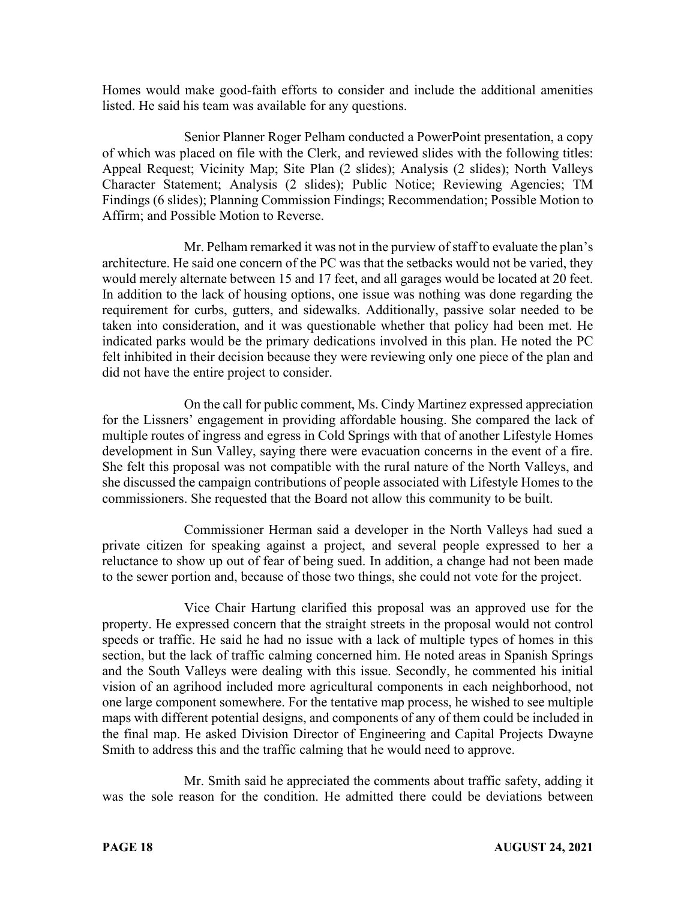Homes would make good-faith efforts to consider and include the additional amenities listed. He said his team was available for any questions.

Senior Planner Roger Pelham conducted a PowerPoint presentation, a copy of which was placed on file with the Clerk, and reviewed slides with the following titles: Appeal Request; Vicinity Map; Site Plan (2 slides); Analysis (2 slides); North Valleys Character Statement; Analysis (2 slides); Public Notice; Reviewing Agencies; TM Findings (6 slides); Planning Commission Findings; Recommendation; Possible Motion to Affirm; and Possible Motion to Reverse.

Mr. Pelham remarked it was not in the purview of staff to evaluate the plan's architecture. He said one concern of the PC was that the setbacks would not be varied, they would merely alternate between 15 and 17 feet, and all garages would be located at 20 feet. In addition to the lack of housing options, one issue was nothing was done regarding the requirement for curbs, gutters, and sidewalks. Additionally, passive solar needed to be taken into consideration, and it was questionable whether that policy had been met. He indicated parks would be the primary dedications involved in this plan. He noted the PC felt inhibited in their decision because they were reviewing only one piece of the plan and did not have the entire project to consider.

On the call for public comment, Ms. Cindy Martinez expressed appreciation for the Lissners' engagement in providing affordable housing. She compared the lack of multiple routes of ingress and egress in Cold Springs with that of another Lifestyle Homes development in Sun Valley, saying there were evacuation concerns in the event of a fire. She felt this proposal was not compatible with the rural nature of the North Valleys, and she discussed the campaign contributions of people associated with Lifestyle Homes to the commissioners. She requested that the Board not allow this community to be built.

Commissioner Herman said a developer in the North Valleys had sued a private citizen for speaking against a project, and several people expressed to her a reluctance to show up out of fear of being sued. In addition, a change had not been made to the sewer portion and, because of those two things, she could not vote for the project.

Vice Chair Hartung clarified this proposal was an approved use for the property. He expressed concern that the straight streets in the proposal would not control speeds or traffic. He said he had no issue with a lack of multiple types of homes in this section, but the lack of traffic calming concerned him. He noted areas in Spanish Springs and the South Valleys were dealing with this issue. Secondly, he commented his initial vision of an agrihood included more agricultural components in each neighborhood, not one large component somewhere. For the tentative map process, he wished to see multiple maps with different potential designs, and components of any of them could be included in the final map. He asked Division Director of Engineering and Capital Projects Dwayne Smith to address this and the traffic calming that he would need to approve.

Mr. Smith said he appreciated the comments about traffic safety, adding it was the sole reason for the condition. He admitted there could be deviations between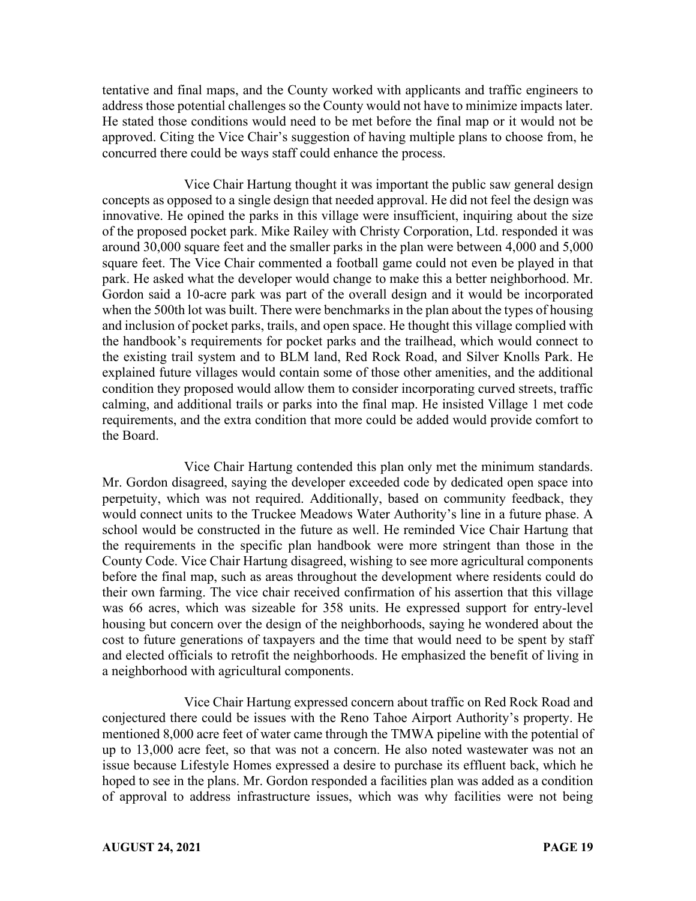tentative and final maps, and the County worked with applicants and traffic engineers to address those potential challenges so the County would not have to minimize impacts later. He stated those conditions would need to be met before the final map or it would not be approved. Citing the Vice Chair's suggestion of having multiple plans to choose from, he concurred there could be ways staff could enhance the process.

Vice Chair Hartung thought it was important the public saw general design concepts as opposed to a single design that needed approval. He did not feel the design was innovative. He opined the parks in this village were insufficient, inquiring about the size of the proposed pocket park. Mike Railey with Christy Corporation, Ltd. responded it was around 30,000 square feet and the smaller parks in the plan were between 4,000 and 5,000 square feet. The Vice Chair commented a football game could not even be played in that park. He asked what the developer would change to make this a better neighborhood. Mr. Gordon said a 10-acre park was part of the overall design and it would be incorporated when the 500th lot was built. There were benchmarks in the plan about the types of housing and inclusion of pocket parks, trails, and open space. He thought this village complied with the handbook's requirements for pocket parks and the trailhead, which would connect to the existing trail system and to BLM land, Red Rock Road, and Silver Knolls Park. He explained future villages would contain some of those other amenities, and the additional condition they proposed would allow them to consider incorporating curved streets, traffic calming, and additional trails or parks into the final map. He insisted Village 1 met code requirements, and the extra condition that more could be added would provide comfort to the Board.

Vice Chair Hartung contended this plan only met the minimum standards. Mr. Gordon disagreed, saying the developer exceeded code by dedicated open space into perpetuity, which was not required. Additionally, based on community feedback, they would connect units to the Truckee Meadows Water Authority's line in a future phase. A school would be constructed in the future as well. He reminded Vice Chair Hartung that the requirements in the specific plan handbook were more stringent than those in the County Code. Vice Chair Hartung disagreed, wishing to see more agricultural components before the final map, such as areas throughout the development where residents could do their own farming. The vice chair received confirmation of his assertion that this village was 66 acres, which was sizeable for 358 units. He expressed support for entry-level housing but concern over the design of the neighborhoods, saying he wondered about the cost to future generations of taxpayers and the time that would need to be spent by staff and elected officials to retrofit the neighborhoods. He emphasized the benefit of living in a neighborhood with agricultural components.

Vice Chair Hartung expressed concern about traffic on Red Rock Road and conjectured there could be issues with the Reno Tahoe Airport Authority's property. He mentioned 8,000 acre feet of water came through the TMWA pipeline with the potential of up to 13,000 acre feet, so that was not a concern. He also noted wastewater was not an issue because Lifestyle Homes expressed a desire to purchase its effluent back, which he hoped to see in the plans. Mr. Gordon responded a facilities plan was added as a condition of approval to address infrastructure issues, which was why facilities were not being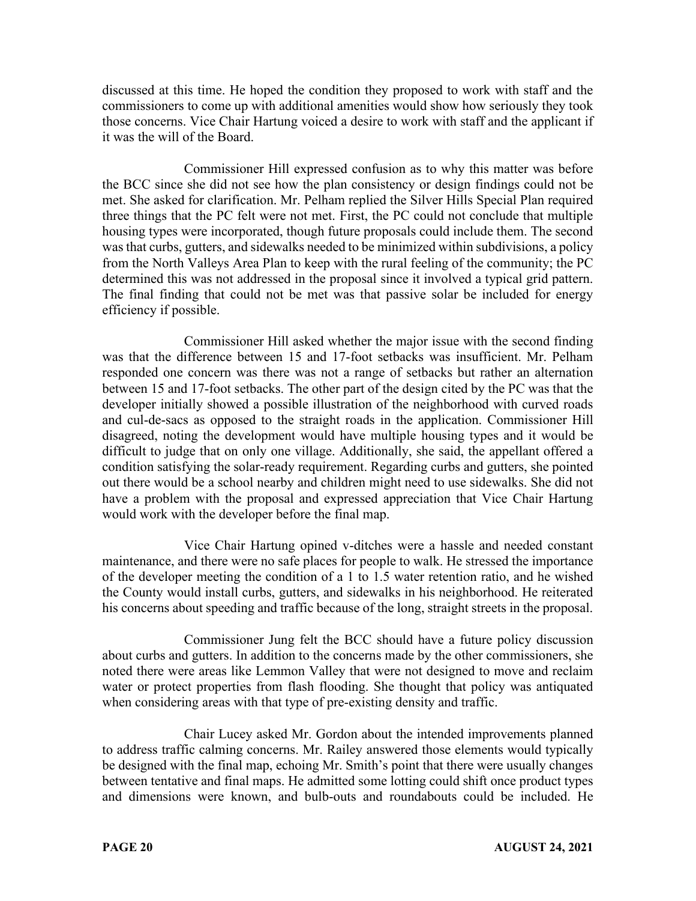discussed at this time. He hoped the condition they proposed to work with staff and the commissioners to come up with additional amenities would show how seriously they took those concerns. Vice Chair Hartung voiced a desire to work with staff and the applicant if it was the will of the Board.

Commissioner Hill expressed confusion as to why this matter was before the BCC since she did not see how the plan consistency or design findings could not be met. She asked for clarification. Mr. Pelham replied the Silver Hills Special Plan required three things that the PC felt were not met. First, the PC could not conclude that multiple housing types were incorporated, though future proposals could include them. The second was that curbs, gutters, and sidewalks needed to be minimized within subdivisions, a policy from the North Valleys Area Plan to keep with the rural feeling of the community; the PC determined this was not addressed in the proposal since it involved a typical grid pattern. The final finding that could not be met was that passive solar be included for energy efficiency if possible.

Commissioner Hill asked whether the major issue with the second finding was that the difference between 15 and 17-foot setbacks was insufficient. Mr. Pelham responded one concern was there was not a range of setbacks but rather an alternation between 15 and 17-foot setbacks. The other part of the design cited by the PC was that the developer initially showed a possible illustration of the neighborhood with curved roads and cul-de-sacs as opposed to the straight roads in the application. Commissioner Hill disagreed, noting the development would have multiple housing types and it would be difficult to judge that on only one village. Additionally, she said, the appellant offered a condition satisfying the solar-ready requirement. Regarding curbs and gutters, she pointed out there would be a school nearby and children might need to use sidewalks. She did not have a problem with the proposal and expressed appreciation that Vice Chair Hartung would work with the developer before the final map.

Vice Chair Hartung opined v-ditches were a hassle and needed constant maintenance, and there were no safe places for people to walk. He stressed the importance of the developer meeting the condition of a 1 to 1.5 water retention ratio, and he wished the County would install curbs, gutters, and sidewalks in his neighborhood. He reiterated his concerns about speeding and traffic because of the long, straight streets in the proposal.

Commissioner Jung felt the BCC should have a future policy discussion about curbs and gutters. In addition to the concerns made by the other commissioners, she noted there were areas like Lemmon Valley that were not designed to move and reclaim water or protect properties from flash flooding. She thought that policy was antiquated when considering areas with that type of pre-existing density and traffic.

Chair Lucey asked Mr. Gordon about the intended improvements planned to address traffic calming concerns. Mr. Railey answered those elements would typically be designed with the final map, echoing Mr. Smith's point that there were usually changes between tentative and final maps. He admitted some lotting could shift once product types and dimensions were known, and bulb-outs and roundabouts could be included. He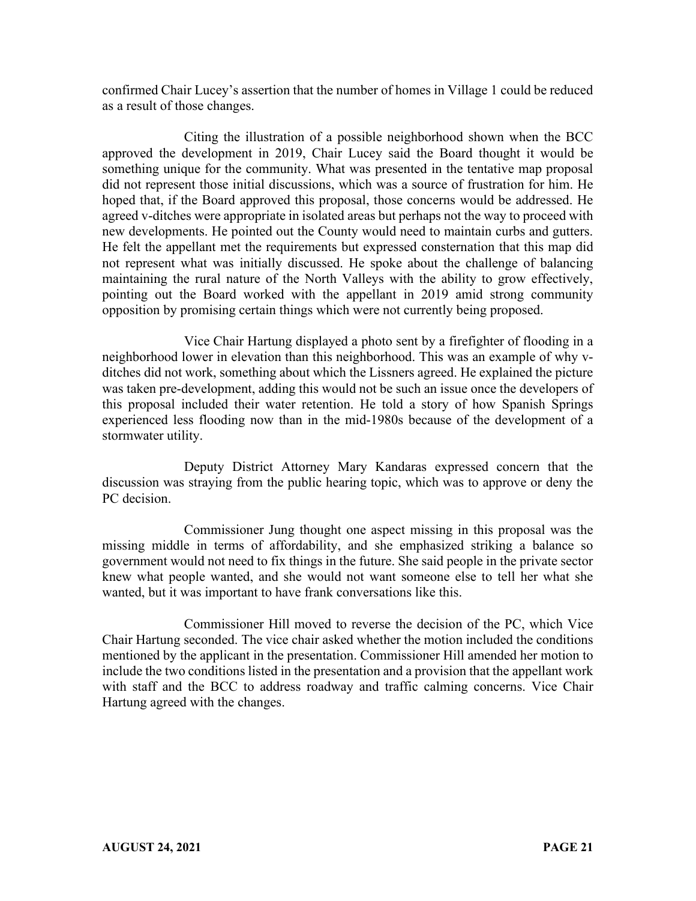confirmed Chair Lucey's assertion that the number of homes in Village 1 could be reduced as a result of those changes.

Citing the illustration of a possible neighborhood shown when the BCC approved the development in 2019, Chair Lucey said the Board thought it would be something unique for the community. What was presented in the tentative map proposal did not represent those initial discussions, which was a source of frustration for him. He hoped that, if the Board approved this proposal, those concerns would be addressed. He agreed v-ditches were appropriate in isolated areas but perhaps not the way to proceed with new developments. He pointed out the County would need to maintain curbs and gutters. He felt the appellant met the requirements but expressed consternation that this map did not represent what was initially discussed. He spoke about the challenge of balancing maintaining the rural nature of the North Valleys with the ability to grow effectively, pointing out the Board worked with the appellant in 2019 amid strong community opposition by promising certain things which were not currently being proposed.

Vice Chair Hartung displayed a photo sent by a firefighter of flooding in a neighborhood lower in elevation than this neighborhood. This was an example of why vditches did not work, something about which the Lissners agreed. He explained the picture was taken pre-development, adding this would not be such an issue once the developers of this proposal included their water retention. He told a story of how Spanish Springs experienced less flooding now than in the mid-1980s because of the development of a stormwater utility.

Deputy District Attorney Mary Kandaras expressed concern that the discussion was straying from the public hearing topic, which was to approve or deny the PC decision.

Commissioner Jung thought one aspect missing in this proposal was the missing middle in terms of affordability, and she emphasized striking a balance so government would not need to fix things in the future. She said people in the private sector knew what people wanted, and she would not want someone else to tell her what she wanted, but it was important to have frank conversations like this.

Commissioner Hill moved to reverse the decision of the PC, which Vice Chair Hartung seconded. The vice chair asked whether the motion included the conditions mentioned by the applicant in the presentation. Commissioner Hill amended her motion to include the two conditions listed in the presentation and a provision that the appellant work with staff and the BCC to address roadway and traffic calming concerns. Vice Chair Hartung agreed with the changes.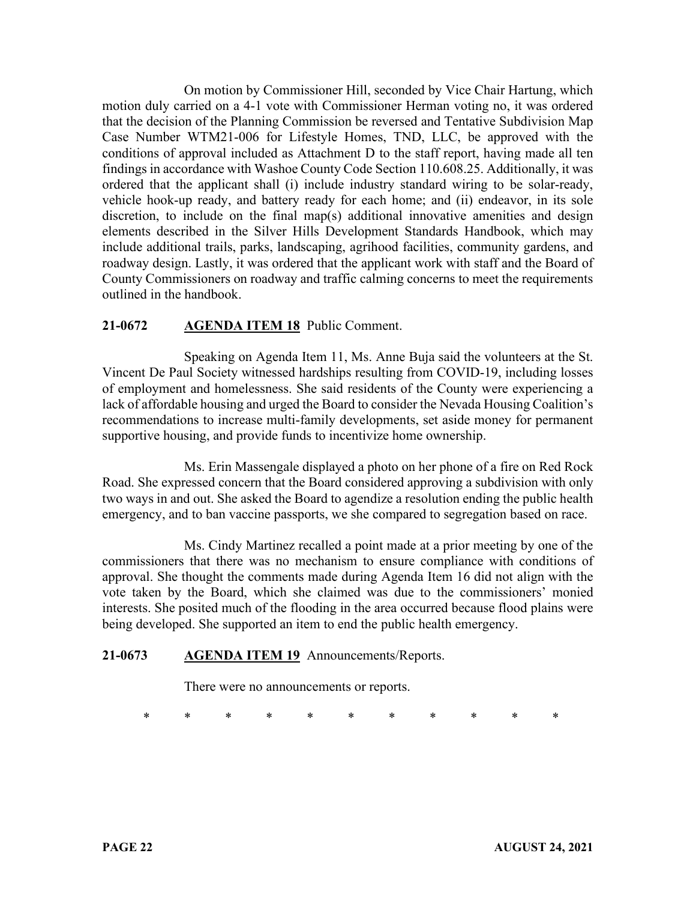On motion by Commissioner Hill, seconded by Vice Chair Hartung, which motion duly carried on a 4-1 vote with Commissioner Herman voting no, it was ordered that the decision of the Planning Commission be reversed and Tentative Subdivision Map Case Number WTM21-006 for Lifestyle Homes, TND, LLC, be approved with the conditions of approval included as Attachment D to the staff report, having made all ten findings in accordance with Washoe County Code Section 110.608.25. Additionally, it was ordered that the applicant shall (i) include industry standard wiring to be solar-ready, vehicle hook-up ready, and battery ready for each home; and (ii) endeavor, in its sole discretion, to include on the final map(s) additional innovative amenities and design elements described in the Silver Hills Development Standards Handbook, which may include additional trails, parks, landscaping, agrihood facilities, community gardens, and roadway design. Lastly, it was ordered that the applicant work with staff and the Board of County Commissioners on roadway and traffic calming concerns to meet the requirements outlined in the handbook.

# **21-0672 AGENDA ITEM 18** Public Comment.

Speaking on Agenda Item 11, Ms. Anne Buja said the volunteers at the St. Vincent De Paul Society witnessed hardships resulting from COVID-19, including losses of employment and homelessness. She said residents of the County were experiencing a lack of affordable housing and urged the Board to consider the Nevada Housing Coalition's recommendations to increase multi-family developments, set aside money for permanent supportive housing, and provide funds to incentivize home ownership.

Ms. Erin Massengale displayed a photo on her phone of a fire on Red Rock Road. She expressed concern that the Board considered approving a subdivision with only two ways in and out. She asked the Board to agendize a resolution ending the public health emergency, and to ban vaccine passports, we she compared to segregation based on race.

Ms. Cindy Martinez recalled a point made at a prior meeting by one of the commissioners that there was no mechanism to ensure compliance with conditions of approval. She thought the comments made during Agenda Item 16 did not align with the vote taken by the Board, which she claimed was due to the commissioners' monied interests. She posited much of the flooding in the area occurred because flood plains were being developed. She supported an item to end the public health emergency.

### **21-0673 AGENDA ITEM 19** Announcements/Reports.

There were no announcements or reports.

\* \* \* \* \* \* \* \* \* \* \*